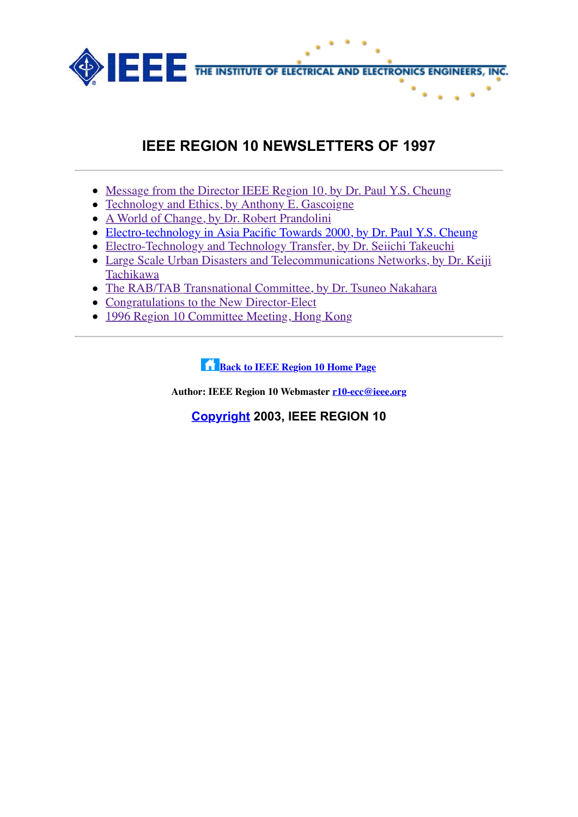

## **IEEE REGION 10 NEWSLETTERS OF 1997**

- [Message from the Director IEEE Region 10, by Dr. Paul Y.S. Cheung](file:///Volumes/Temp%20Files/IEEE%20Region%2010/r10-backup/Newsletter/1997/nl_a1.htm)
- [Technology and Ethics, by Anthony E. Gascoigne](file:///Volumes/Temp%20Files/IEEE%20Region%2010/r10-backup/Newsletter/1997/nl_a2.htm)
- [A World of Change, by Dr. Robert Prandolini](file:///Volumes/Temp%20Files/IEEE%20Region%2010/r10-backup/Newsletter/1997/nl_a3.htm)
- [Electro-technology in Asia Pacific Towards 2000, by Dr. Paul Y.S. Cheung](file:///Volumes/Temp%20Files/IEEE%20Region%2010/r10-backup/Newsletter/1997/nl_a4.htm)
- [Electro-Technology and Technology Transfer, by Dr. Seiichi Takeuchi](file:///Volumes/Temp%20Files/IEEE%20Region%2010/r10-backup/Newsletter/1997/nl_a5.htm)
- [Large Scale Urban Disasters and Telecommunications Networks, by Dr. Keiji](file:///Volumes/Temp%20Files/IEEE%20Region%2010/r10-backup/Newsletter/1997/nl_a6.htm) Tachikawa
- [The RAB/TAB Transnational Committee, by Dr. Tsuneo Nakahara](file:///Volumes/Temp%20Files/IEEE%20Region%2010/r10-backup/Newsletter/1997/nl_a7.htm)
- [Congratulations to the New Director-Elect](file:///Volumes/Temp%20Files/IEEE%20Region%2010/r10-backup/Newsletter/1997/nl_a8.htm)
- [1996 Region 10 Committee Meeting, Hong Kong](file:///Volumes/Temp%20Files/IEEE%20Region%2010/r10-backup/Newsletter/1997/nl_a9.htm)

**f [Back to IEEE Region 10 Home Page](http://www.ewh.ieee.org/reg/10)** 

**Author: IEEE Region 10 Webmaster [r10-ecc@ieee.org](mailto:r10-ecc@ieee.org)**

**[Copyright](http://www.ieee.org/copyright/) 2003, IEEE REGION 10**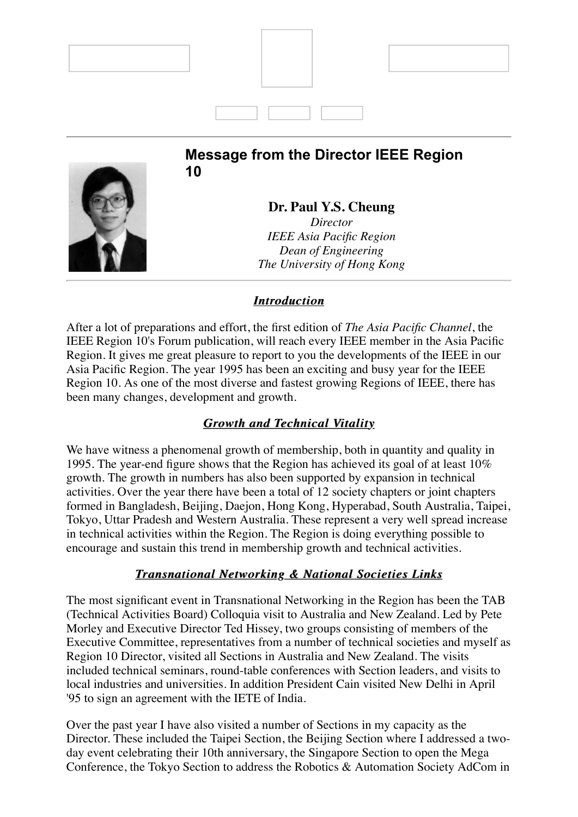

*Director IEEE Asia Pacific Region Dean of Engineering The University of Hong Kong*

### *Introduction Introduction*

After a lot of preparations and effort, the first edition of *The Asia Pacific Channel*, the IEEE Region 10's Forum publication, will reach every IEEE member in the Asia Pacific Region. It gives me great pleasure to report to you the developments of the IEEE in our Asia Pacific Region. The year 1995 has been an exciting and busy year for the IEEE Region 10. As one of the most diverse and fastest growing Regions of IEEE, there has been many changes, development and growth.

## *Growth and Technical Vitality Growth and Technical Vitality*

We have witness a phenomenal growth of membership, both in quantity and quality in 1995. The year-end figure shows that the Region has achieved its goal of at least 10% growth. The growth in numbers has also been supported by expansion in technical activities. Over the year there have been a total of 12 society chapters or joint chapters formed in Bangladesh, Beijing, Daejon, Hong Kong, Hyperabad, South Australia, Taipei, Tokyo, Uttar Pradesh and Western Australia. These represent a very well spread increase in technical activities within the Region. The Region is doing everything possible to encourage and sustain this trend in membership growth and technical activities.

## **Transnational Networking & National Societies Links**

The most significant event in Transnational Networking in the Region has been the TAB (Technical Activities Board) Colloquia visit to Australia and New Zealand. Led by Pete Morley and Executive Director Ted Hissey, two groups consisting of members of the Executive Committee, representatives from a number of technical societies and myself as Region 10 Director, visited all Sections in Australia and New Zealand. The visits included technical seminars, round-table conferences with Section leaders, and visits to local industries and universities. In addition President Cain visited New Delhi in April '95 to sign an agreement with the IETE of India.

Over the past year I have also visited a number of Sections in my capacity as the Director. These included the Taipei Section, the Beijing Section where I addressed a twoday event celebrating their 10th anniversary, the Singapore Section to open the Mega Conference, the Tokyo Section to address the Robotics & Automation Society AdCom in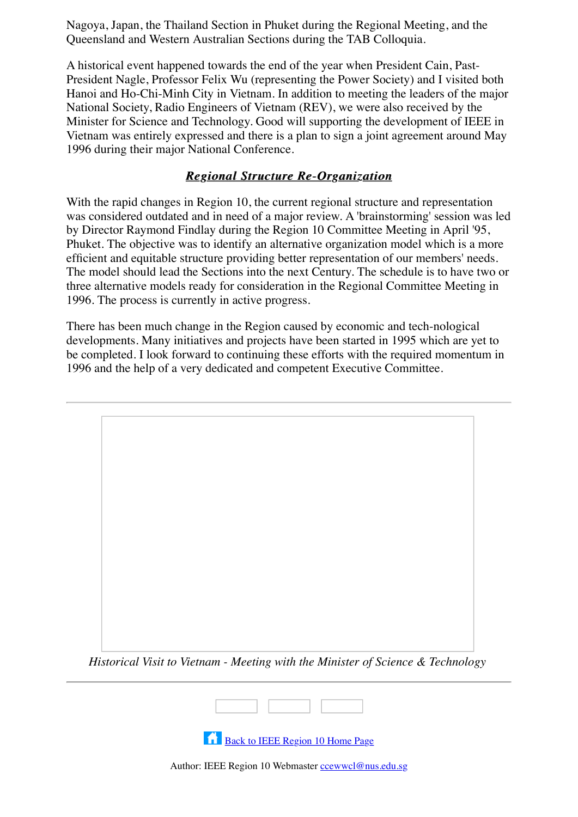Nagoya, Japan, the Thailand Section in Phuket during the Regional Meeting, and the Queensland and Western Australian Sections during the TAB Colloquia.

A historical event happened towards the end of the year when President Cain, Past-President Nagle, Professor Felix Wu (representing the Power Society) and I visited both Hanoi and Ho-Chi-Minh City in Vietnam. In addition to meeting the leaders of the major National Society, Radio Engineers of Vietnam (REV), we were also received by the Minister for Science and Technology. Good will supporting the development of IEEE in Vietnam was entirely expressed and there is a plan to sign a joint agreement around May 1996 during their major National Conference.

### *Regional Structure Re-Organization Regional Structure Re-Organization*

With the rapid changes in Region 10, the current regional structure and representation was considered outdated and in need of a major review. A 'brainstorming' session was led by Director Raymond Findlay during the Region 10 Committee Meeting in April '95, Phuket. The objective was to identify an alternative organization model which is a more efficient and equitable structure providing better representation of our members' needs. The model should lead the Sections into the next Century. The schedule is to have two or three alternative models ready for consideration in the Regional Committee Meeting in 1996. The process is currently in active progress.

There has been much change in the Region caused by economic and tech-nological developments. Many initiatives and projects have been started in 1995 which are yet to be completed. I look forward to continuing these efforts with the required momentum in 1996 and the help of a very dedicated and competent Executive Committee.



*Historical Visit to Vietnam - Meeting with the Minister of Science & Technology*



**[Back to IEEE Region 10 Home Page](file:///Volumes/Temp%20Files/IEEE%20Region%2010/r10-backup/Newsletter/1997/home.htm)** 

Author: IEEE Region 10 Webmaster [ccewwcl@nus.edu.sg](mailto:ccewwcl@nus.edu.sg)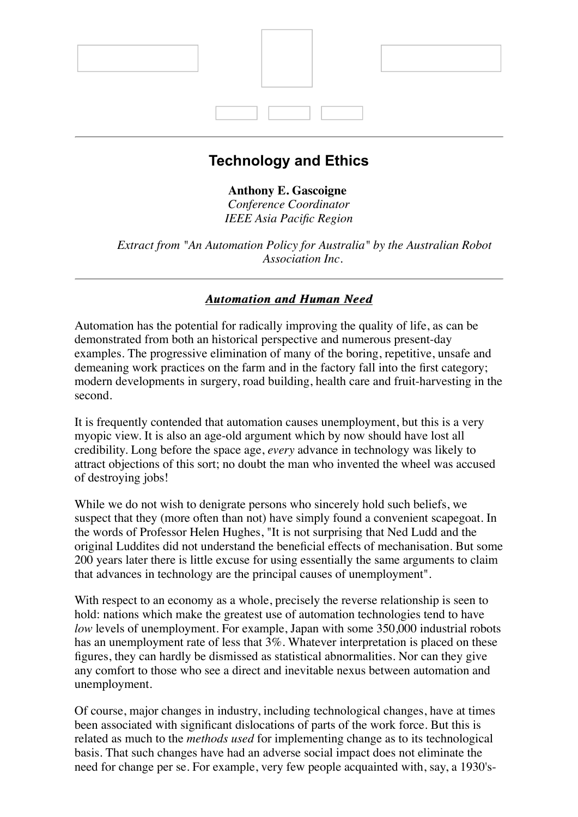

## **Technology and Ethics**

### **Anthony E. Gascoigne**

*Conference Coordinator IEEE Asia Pacific Region*

*Extract from "An Automation Policy for Australia" by the Australian Robot Association Inc.*

### *Automation and Human Need Automation and Need*

Automation has the potential for radically improving the quality of life, as can be demonstrated from both an historical perspective and numerous present-day examples. The progressive elimination of many of the boring, repetitive, unsafe and demeaning work practices on the farm and in the factory fall into the first category; modern developments in surgery, road building, health care and fruit-harvesting in the second.

It is frequently contended that automation causes unemployment, but this is a very myopic view. It is also an age-old argument which by now should have lost all credibility. Long before the space age, *every* advance in technology was likely to attract objections of this sort; no doubt the man who invented the wheel was accused of destroying jobs!

While we do not wish to denigrate persons who sincerely hold such beliefs, we suspect that they (more often than not) have simply found a convenient scapegoat. In the words of Professor Helen Hughes, "It is not surprising that Ned Ludd and the original Luddites did not understand the beneficial effects of mechanisation. But some 200 years later there is little excuse for using essentially the same arguments to claim that advances in technology are the principal causes of unemployment".

With respect to an economy as a whole, precisely the reverse relationship is seen to hold: nations which make the greatest use of automation technologies tend to have *low* levels of unemployment. For example, Japan with some 350,000 industrial robots has an unemployment rate of less that  $3\%$ . Whatever interpretation is placed on these figures, they can hardly be dismissed as statistical abnormalities. Nor can they give any comfort to those who see a direct and inevitable nexus between automation and unemployment.

Of course, major changes in industry, including technological changes, have at times been associated with significant dislocations of parts of the work force. But this is related as much to the *methods used* for implementing change as to its technological basis. That such changes have had an adverse social impact does not eliminate the need for change per se. For example, very few people acquainted with, say, a 1930's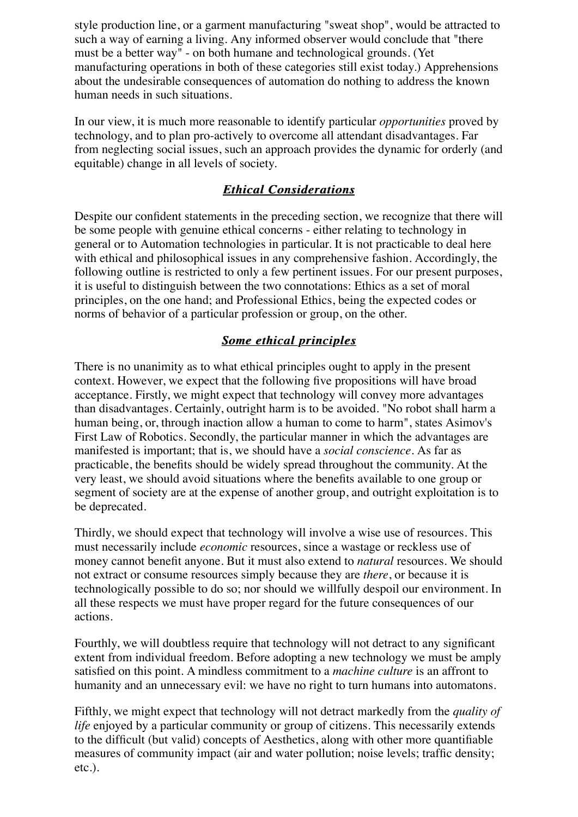style production line, or a garment manufacturing "sweat shop", would be attracted to such a way of earning a living. Any informed observer would conclude that "there must be a better way" - on both humane and technological grounds. (Yet manufacturing operations in both of these categories still exist today.) Apprehensions about the undesirable consequences of automation do nothing to address the known human needs in such situations.

In our view, it is much more reasonable to identify particular *opportunities* proved by technology, and to plan pro-actively to overcome all attendant disadvantages. Far from neglecting social issues, such an approach provides the dynamic for orderly (and equitable) change in all levels of society.

### *Ethical Considerations Ethical Considerations*

Despite our confident statements in the preceding section, we recognize that there will be some people with genuine ethical concerns - either relating to technology in general or to Automation technologies in particular. It is not practicable to deal here with ethical and philosophical issues in any comprehensive fashion. Accordingly, the following outline is restricted to only a few pertinent issues. For our present purposes, it is useful to distinguish between the two connotations: Ethics as a set of moral principles, on the one hand; and Professional Ethics, being the expected codes or norms of behavior of a particular profession or group, on the other.

### *Some ethical principles Some ethical principles*

There is no unanimity as to what ethical principles ought to apply in the present context. However, we expect that the following five propositions will have broad acceptance. Firstly, we might expect that technology will convey more advantages than disadvantages. Certainly, outright harm is to be avoided. "No robot shall harm a human being, or, through inaction allow a human to come to harm", states Asimov's First Law of Robotics. Secondly, the particular manner in which the advantages are manifested is important; that is, we should have a *social conscience*. As far as practicable, the benefits should be widely spread throughout the community. At the very least, we should avoid situations where the benefits available to one group or segment of society are at the expense of another group, and outright exploitation is to be deprecated.

Thirdly, we should expect that technology will involve a wise use of resources. This must necessarily include *economic* resources, since a wastage or reckless use of money cannot benefit anyone. But it must also extend to *natural* resources. We should not extract or consume resources simply because they are *there*, or because it is technologically possible to do so; nor should we willfully despoil our environment. In all these respects we must have proper regard for the future consequences of our actions.

Fourthly, we will doubtless require that technology will not detract to any significant extent from individual freedom. Before adopting a new technology we must be amply satisfied on this point. A mindless commitment to a *machine culture* is an affront to humanity and an unnecessary evil: we have no right to turn humans into automatons.

Fifthly, we might expect that technology will not detract markedly from the *quality of life* enjoyed by a particular community or group of citizens. This necessarily extends to the difficult (but valid) concepts of Aesthetics, along with other more quantifiable measures of community impact (air and water pollution; noise levels; traffic density; etc.).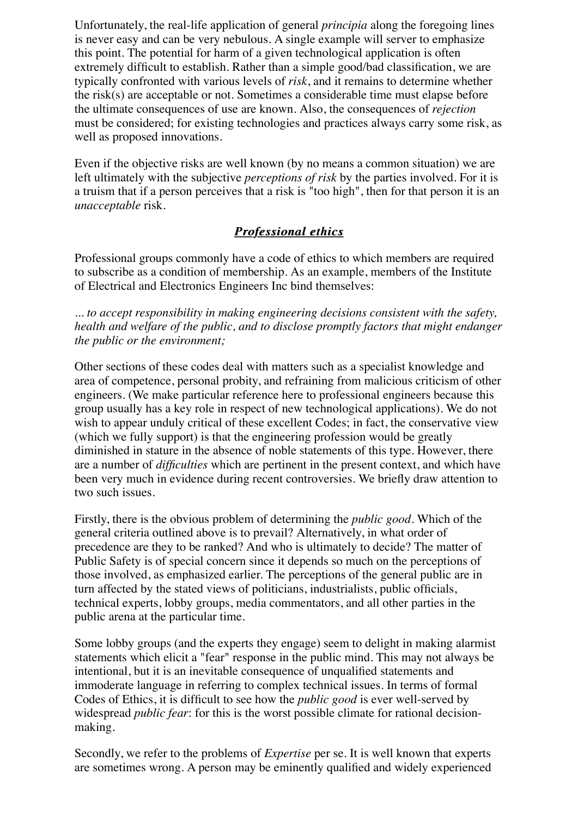Unfortunately, the real-life application of general *principia* along the foregoing lines is never easy and can be very nebulous. A single example will server to emphasize this point. The potential for harm of a given technological application is often extremely difficult to establish. Rather than a simple good/bad classification, we are typically confronted with various levels of *risk*, and it remains to determine whether the risk(s) are acceptable or not. Sometimes a considerable time must elapse before the ultimate consequences of use are known. Also, the consequences of *rejection* must be considered; for existing technologies and practices always carry some risk, as well as proposed innovations.

Even if the objective risks are well known (by no means a common situation) we are left ultimately with the subjective *perceptions of risk* by the parties involved. For it is a truism that if a person perceives that a risk is "too high", then for that person it is an *unacceptable* risk.

## *Professional ethics Professional ethics*

Professional groups commonly have a code of ethics to which members are required to subscribe as a condition of membership. As an example, members of the Institute of Electrical and Electronics Engineers Inc bind themselves:

*... to accept responsibility in making engineering decisions consistent with the safety, health and welfare of the public, and to disclose promptly factors that might endanger the public or the environment;*

Other sections of these codes deal with matters such as a specialist knowledge and area of competence, personal probity, and refraining from malicious criticism of other engineers. (We make particular reference here to professional engineers because this group usually has a key role in respect of new technological applications). We do not wish to appear unduly critical of these excellent Codes; in fact, the conservative view (which we fully support) is that the engineering profession would be greatly diminished in stature in the absence of noble statements of this type. However, there are a number of *difficulties* which are pertinent in the present context, and which have been very much in evidence during recent controversies. We briefly draw attention to two such issues.

Firstly, there is the obvious problem of determining the *public good*. Which of the general criteria outlined above is to prevail? Alternatively, in what order of precedence are they to be ranked? And who is ultimately to decide? The matter of Public Safety is of special concern since it depends so much on the perceptions of those involved, as emphasized earlier. The perceptions of the general public are in turn affected by the stated views of politicians, industrialists, public officials, technical experts, lobby groups, media commentators, and all other parties in the public arena at the particular time.

Some lobby groups (and the experts they engage) seem to delight in making alarmist statements which elicit a "fear" response in the public mind. This may not always be intentional, but it is an inevitable consequence of unqualified statements and immoderate language in referring to complex technical issues. In terms of formal Codes of Ethics, it is difficult to see how the *public good* is ever well-served by widespread *public fear*: for this is the worst possible climate for rational decisionmaking.

Secondly, we refer to the problems of *Expertise* per se. It is well known that experts are sometimes wrong. A person may be eminently qualified and widely experienced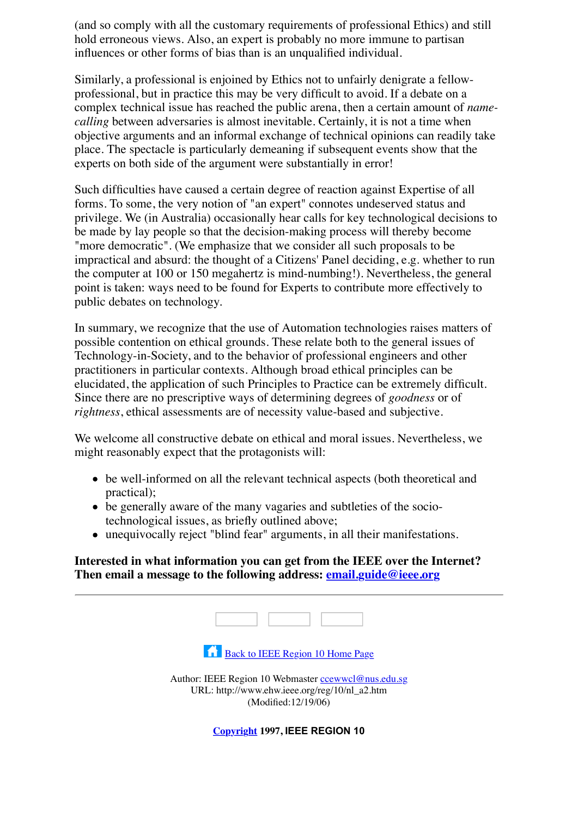(and so comply with all the customary requirements of professional Ethics) and still hold erroneous views. Also, an expert is probably no more immune to partisan influences or other forms of bias than is an unqualified individual.

Similarly, a professional is enjoined by Ethics not to unfairly denigrate a fellowprofessional, but in practice this may be very difficult to avoid. If a debate on a complex technical issue has reached the public arena, then a certain amount of *namecalling* between adversaries is almost inevitable. Certainly, it is not a time when objective arguments and an informal exchange of technical opinions can readily take place. The spectacle is particularly demeaning if subsequent events show that the experts on both side of the argument were substantially in error!

Such difficulties have caused a certain degree of reaction against Expertise of all forms. To some, the very notion of "an expert" connotes undeserved status and privilege. We (in Australia) occasionally hear calls for key technological decisions to be made by lay people so that the decision-making process will thereby become "more democratic". (We emphasize that we consider all such proposals to be impractical and absurd: the thought of a Citizens' Panel deciding, e.g. whether to run the computer at 100 or 150 megahertz is mind-numbing!). Nevertheless, the general point is taken: ways need to be found for Experts to contribute more effectively to public debates on technology.

In summary, we recognize that the use of Automation technologies raises matters of possible contention on ethical grounds. These relate both to the general issues of Technology-in-Society, and to the behavior of professional engineers and other practitioners in particular contexts. Although broad ethical principles can be elucidated, the application of such Principles to Practice can be extremely difficult. Since there are no prescriptive ways of determining degrees of *goodness* or of *rightness*, ethical assessments are of necessity value-based and subjective.

We welcome all constructive debate on ethical and moral issues. Nevertheless, we might reasonably expect that the protagonists will:

- be well-informed on all the relevant technical aspects (both theoretical and practical);
- be generally aware of the many vagaries and subtleties of the sociotechnological issues, as briefly outlined above;
- unequivocally reject "blind fear" arguments, in all their manifestations.

#### **Interested in what information you can get from the IEEE over the Internet? Then email a message to the following address: [email.guide@ieee.org](mailto:email.guide@ieee.org)**

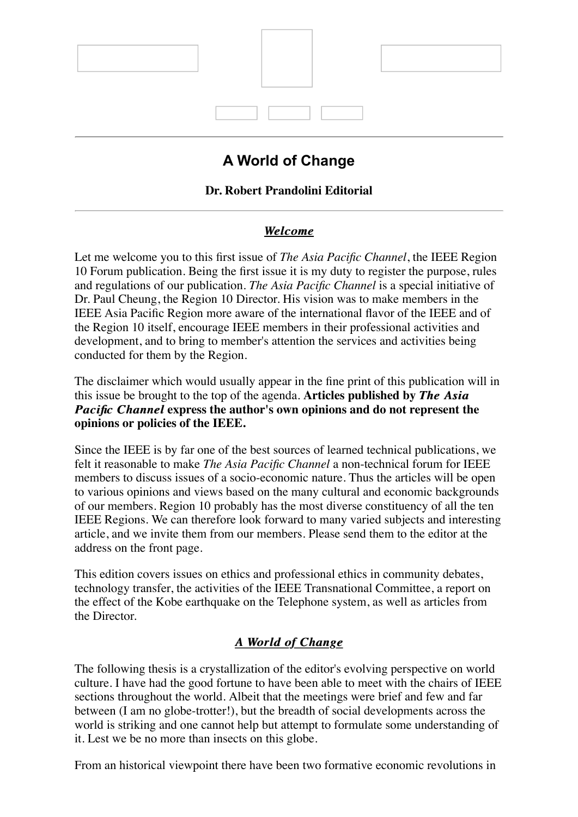

# **A World of Change**

## **Dr. Robert Prandolini Editorial**

## *Welcome Welcome*

Let me welcome you to this first issue of *The Asia Pacific Channel*, the IEEE Region 10 Forum publication. Being the first issue it is my duty to register the purpose, rules and regulations of our publication. *The Asia Pacific Channel* is a special initiative of Dr. Paul Cheung, the Region 10 Director. His vision was to make members in the IEEE Asia Pacific Region more aware of the international flavor of the IEEE and of the Region 10 itself, encourage IEEE members in their professional activities and development, and to bring to member's attention the services and activities being conducted for them by the Region.

The disclaimer which would usually appear in the fine print of this publication will in this issue be brought to the top of the agenda. **Articles published by** *The Asia The Asia Pacific Channel Pacific Channel* **express the author's own opinions and do not represent the opinions or policies of the IEEE.**

Since the IEEE is by far one of the best sources of learned technical publications, we felt it reasonable to make *The Asia Pacific Channel* a non-technical forum for IEEE members to discuss issues of a socio-economic nature. Thus the articles will be open to various opinions and views based on the many cultural and economic backgrounds of our members. Region 10 probably has the most diverse constituency of all the ten IEEE Regions. We can therefore look forward to many varied subjects and interesting article, and we invite them from our members. Please send them to the editor at the address on the front page.

This edition covers issues on ethics and professional ethics in community debates, technology transfer, the activities of the IEEE Transnational Committee, a report on the effect of the Kobe earthquake on the Telephone system, as well as articles from the Director.

## *A World of Change A World of Change*

The following thesis is a crystallization of the editor's evolving perspective on world culture. I have had the good fortune to have been able to meet with the chairs of IEEE sections throughout the world. Albeit that the meetings were brief and few and far between (I am no globe-trotter!), but the breadth of social developments across the world is striking and one cannot help but attempt to formulate some understanding of it. Lest we be no more than insects on this globe.

From an historical viewpoint there have been two formative economic revolutions in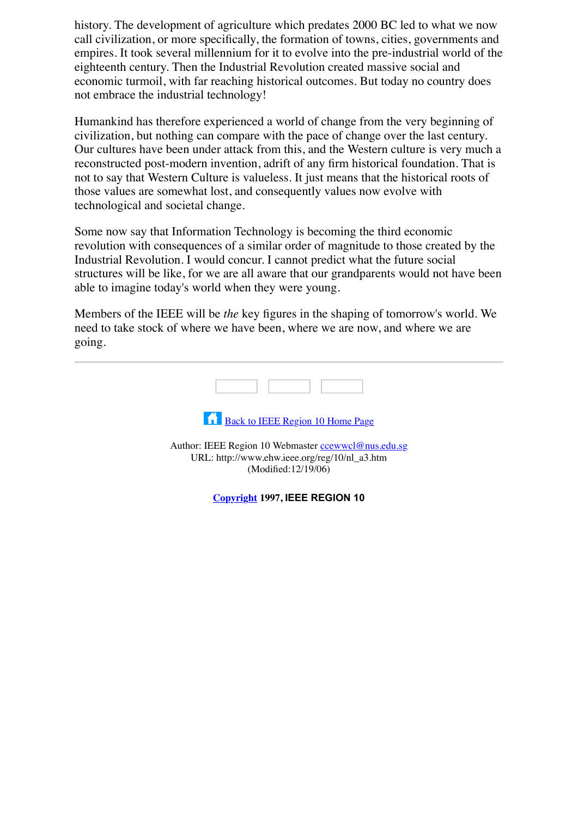history. The development of agriculture which predates 2000 BC led to what we now call civilization, or more specifically, the formation of towns, cities, governments and empires. It took several millennium for it to evolve into the pre-industrial world of the eighteenth century. Then the Industrial Revolution created massive social and economic turmoil, with far reaching historical outcomes. But today no country does not embrace the industrial technology!

Humankind has therefore experienced a world of change from the very beginning of civilization, but nothing can compare with the pace of change over the last century. Our cultures have been under attack from this, and the Western culture is very much a reconstructed post-modern invention, adrift of any firm historical foundation. That is not to say that Western Culture is valueless. It just means that the historical roots of those values are somewhat lost, and consequently values now evolve with technological and societal change.

Some now say that Information Technology is becoming the third economic revolution with consequences of a similar order of magnitude to those created by the Industrial Revolution. I would concur. I cannot predict what the future social structures will be like, for we are all aware that our grandparents would not have been able to imagine today's world when they were young.

Members of the IEEE will be *the* key figures in the shaping of tomorrow's world. We need to take stock of where we have been, where we are now, and where we are going.

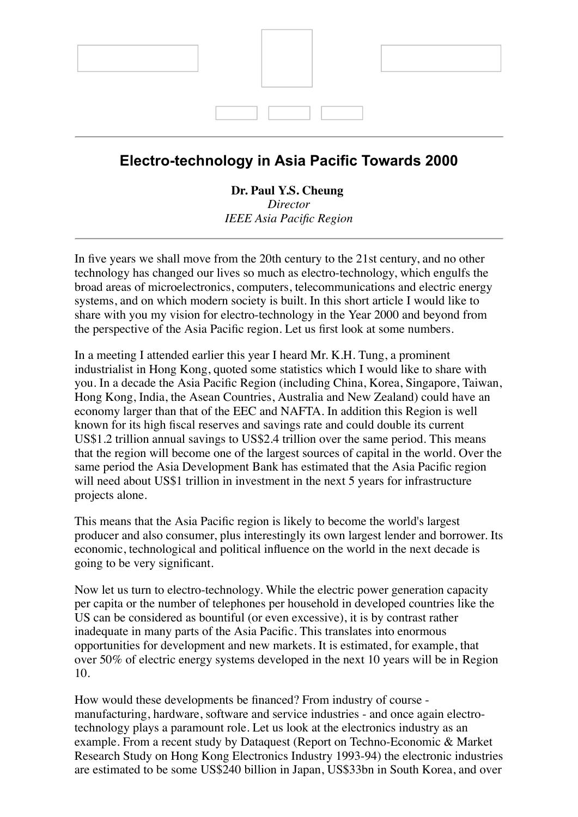

## **Electro-technology in Asia Pacific Towards 2000**

#### **Dr. Paul Y.S. Cheung** *Director IEEE Asia Pacific Region*

In five years we shall move from the 20th century to the 21st century, and no other technology has changed our lives so much as electro-technology, which engulfs the broad areas of microelectronics, computers, telecommunications and electric energy systems, and on which modern society is built. In this short article I would like to share with you my vision for electro-technology in the Year 2000 and beyond from the perspective of the Asia Pacific region. Let us first look at some numbers.

In a meeting I attended earlier this year I heard Mr. K.H. Tung, a prominent industrialist in Hong Kong, quoted some statistics which I would like to share with you. In a decade the Asia Pacific Region (including China, Korea, Singapore, Taiwan, Hong Kong, India, the Asean Countries, Australia and New Zealand) could have an economy larger than that of the EEC and NAFTA. In addition this Region is well known for its high fiscal reserves and savings rate and could double its current US\$1.2 trillion annual savings to US\$2.4 trillion over the same period. This means that the region will become one of the largest sources of capital in the world. Over the same period the Asia Development Bank has estimated that the Asia Pacific region will need about US\$1 trillion in investment in the next 5 years for infrastructure projects alone.

This means that the Asia Pacific region is likely to become the world's largest producer and also consumer, plus interestingly its own largest lender and borrower. Its economic, technological and political influence on the world in the next decade is going to be very significant.

Now let us turn to electro-technology. While the electric power generation capacity per capita or the number of telephones per household in developed countries like the US can be considered as bountiful (or even excessive), it is by contrast rather inadequate in many parts of the Asia Pacific. This translates into enormous opportunities for development and new markets. It is estimated, for example, that over 50% of electric energy systems developed in the next 10 years will be in Region 10.

How would these developments be financed? From industry of course manufacturing, hardware, software and service industries - and once again electrotechnology plays a paramount role. Let us look at the electronics industry as an example. From a recent study by Dataquest (Report on Techno-Economic & Market Research Study on Hong Kong Electronics Industry 1993-94) the electronic industries are estimated to be some US\$240 billion in Japan, US\$33bn in South Korea, and over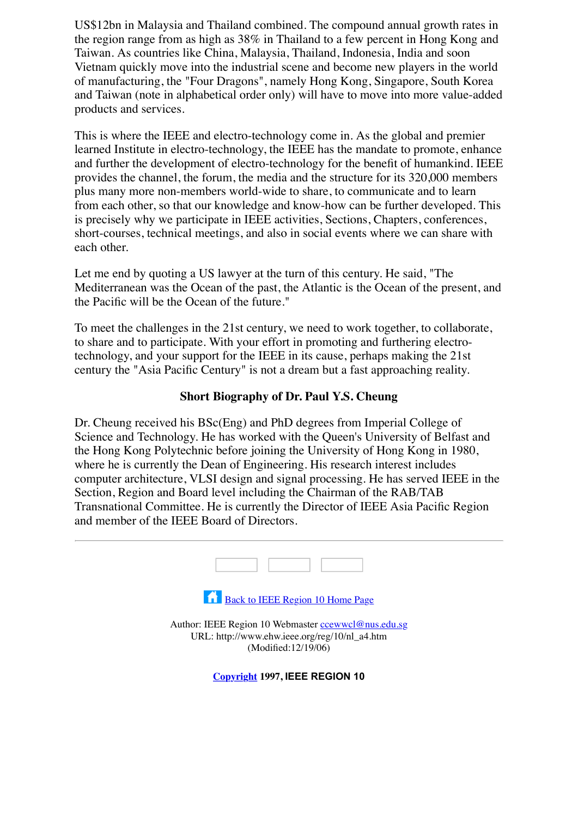US\$12bn in Malaysia and Thailand combined. The compound annual growth rates in the region range from as high as 38% in Thailand to a few percent in Hong Kong and Taiwan. As countries like China, Malaysia, Thailand, Indonesia, India and soon Vietnam quickly move into the industrial scene and become new players in the world of manufacturing, the "Four Dragons", namely Hong Kong, Singapore, South Korea and Taiwan (note in alphabetical order only) will have to move into more value-added products and services.

This is where the IEEE and electro-technology come in. As the global and premier learned Institute in electro-technology, the IEEE has the mandate to promote, enhance and further the development of electro-technology for the benefit of humankind. IEEE provides the channel, the forum, the media and the structure for its 320,000 members plus many more non-members world-wide to share, to communicate and to learn from each other, so that our knowledge and know-how can be further developed. This is precisely why we participate in IEEE activities, Sections, Chapters, conferences, short-courses, technical meetings, and also in social events where we can share with each other.

Let me end by quoting a US lawyer at the turn of this century. He said, "The Mediterranean was the Ocean of the past, the Atlantic is the Ocean of the present, and the Pacific will be the Ocean of the future."

To meet the challenges in the 21st century, we need to work together, to collaborate, to share and to participate. With your effort in promoting and furthering electrotechnology, and your support for the IEEE in its cause, perhaps making the 21st century the "Asia Pacific Century" is not a dream but a fast approaching reality.

#### **Short Biography of Dr. Paul Y.S. Cheung**

Dr. Cheung received his BSc(Eng) and PhD degrees from Imperial College of Science and Technology. He has worked with the Queen's University of Belfast and the Hong Kong Polytechnic before joining the University of Hong Kong in 1980, where he is currently the Dean of Engineering. His research interest includes computer architecture, VLSI design and signal processing. He has served IEEE in the Section, Region and Board level including the Chairman of the RAB/TAB Transnational Committee. He is currently the Director of IEEE Asia Pacific Region and member of the IEEE Board of Directors.

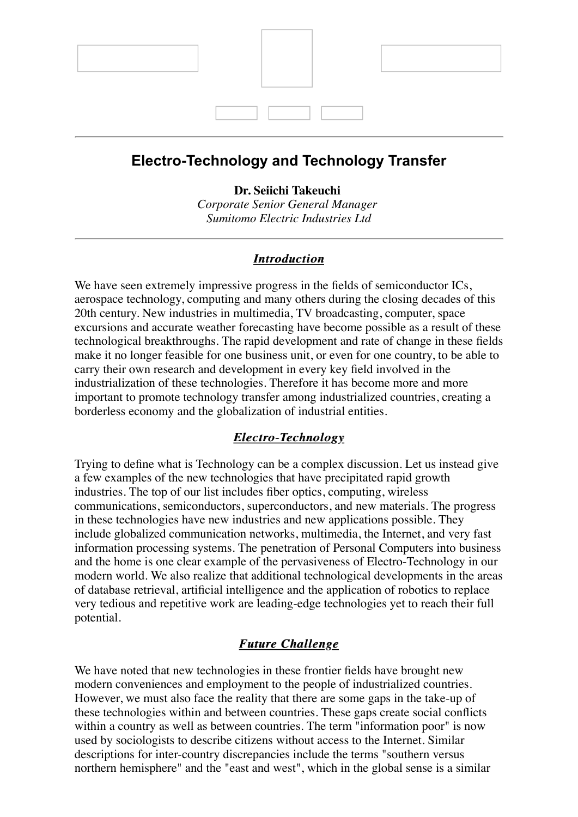

## **Electro-Technology and Technology Transfer**

**Dr. Seiichi Takeuchi**

*Corporate Senior General Manager Sumitomo Electric Industries Ltd*

### *Introduction Introduction*

We have seen extremely impressive progress in the fields of semiconductor ICs, aerospace technology, computing and many others during the closing decades of this 20th century. New industries in multimedia, TV broadcasting, computer, space excursions and accurate weather forecasting have become possible as a result of these technological breakthroughs. The rapid development and rate of change in these fields make it no longer feasible for one business unit, or even for one country, to be able to carry their own research and development in every key field involved in the industrialization of these technologies. Therefore it has become more and more important to promote technology transfer among industrialized countries, creating a borderless economy and the globalization of industrial entities.

### *Electro-Technology Electro-Technology*

Trying to define what is Technology can be a complex discussion. Let us instead give a few examples of the new technologies that have precipitated rapid growth industries. The top of our list includes fiber optics, computing, wireless communications, semiconductors, superconductors, and new materials. The progress in these technologies have new industries and new applications possible. They include globalized communication networks, multimedia, the Internet, and very fast information processing systems. The penetration of Personal Computers into business and the home is one clear example of the pervasiveness of Electro-Technology in our modern world. We also realize that additional technological developments in the areas of database retrieval, artificial intelligence and the application of robotics to replace very tedious and repetitive work are leading-edge technologies yet to reach their full potential.

### *Future Challenge Future Challenge*

We have noted that new technologies in these frontier fields have brought new modern conveniences and employment to the people of industrialized countries. However, we must also face the reality that there are some gaps in the take-up of these technologies within and between countries. These gaps create social conflicts within a country as well as between countries. The term "information poor" is now used by sociologists to describe citizens without access to the Internet. Similar descriptions for inter-country discrepancies include the terms "southern versus northern hemisphere" and the "east and west", which in the global sense is a similar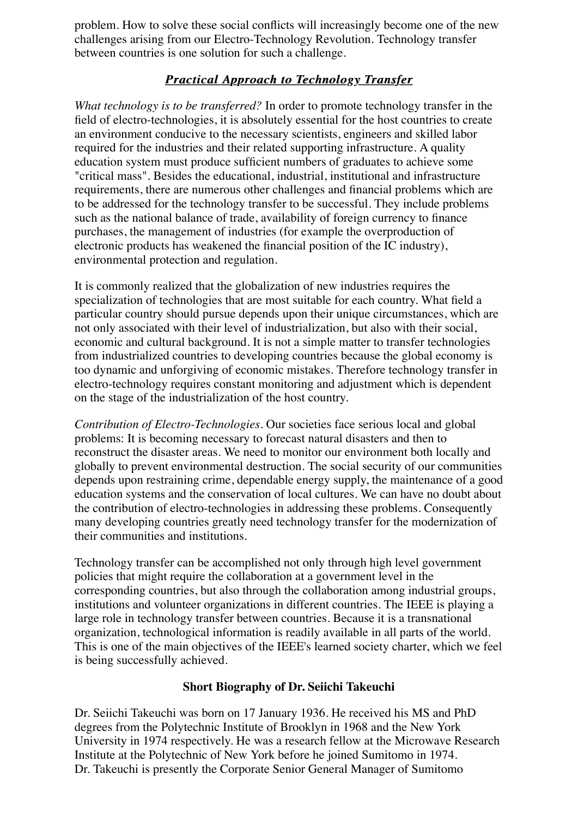problem. How to solve these social conflicts will increasingly become one of the new challenges arising from our Electro-Technology Revolution. Technology transfer between countries is one solution for such a challenge.

## **Practical Approach to Technology Transfer**

*What technology is to be transferred?* In order to promote technology transfer in the field of electro-technologies, it is absolutely essential for the host countries to create an environment conducive to the necessary scientists, engineers and skilled labor required for the industries and their related supporting infrastructure. A quality education system must produce sufficient numbers of graduates to achieve some "critical mass". Besides the educational, industrial, institutional and infrastructure requirements, there are numerous other challenges and financial problems which are to be addressed for the technology transfer to be successful. They include problems such as the national balance of trade, availability of foreign currency to finance purchases, the management of industries (for example the overproduction of electronic products has weakened the financial position of the IC industry), environmental protection and regulation.

It is commonly realized that the globalization of new industries requires the specialization of technologies that are most suitable for each country. What field a particular country should pursue depends upon their unique circumstances, which are not only associated with their level of industrialization, but also with their social, economic and cultural background. It is not a simple matter to transfer technologies from industrialized countries to developing countries because the global economy is too dynamic and unforgiving of economic mistakes. Therefore technology transfer in electro-technology requires constant monitoring and adjustment which is dependent on the stage of the industrialization of the host country.

*Contribution of Electro-Technologies.* Our societies face serious local and global problems: It is becoming necessary to forecast natural disasters and then to reconstruct the disaster areas. We need to monitor our environment both locally and globally to prevent environmental destruction. The social security of our communities depends upon restraining crime, dependable energy supply, the maintenance of a good education systems and the conservation of local cultures. We can have no doubt about the contribution of electro-technologies in addressing these problems. Consequently many developing countries greatly need technology transfer for the modernization of their communities and institutions.

Technology transfer can be accomplished not only through high level government policies that might require the collaboration at a government level in the corresponding countries, but also through the collaboration among industrial groups, institutions and volunteer organizations in different countries. The IEEE is playing a large role in technology transfer between countries. Because it is a transnational organization, technological information is readily available in all parts of the world. This is one of the main objectives of the IEEE's learned society charter, which we feel is being successfully achieved.

### **Short Biography of Dr. Seiichi Takeuchi**

Dr. Seiichi Takeuchi was born on 17 January 1936. He received his MS and PhD degrees from the Polytechnic Institute of Brooklyn in 1968 and the New York University in 1974 respectively. He was a research fellow at the Microwave Research Institute at the Polytechnic of New York before he joined Sumitomo in 1974. Dr. Takeuchi is presently the Corporate Senior General Manager of Sumitomo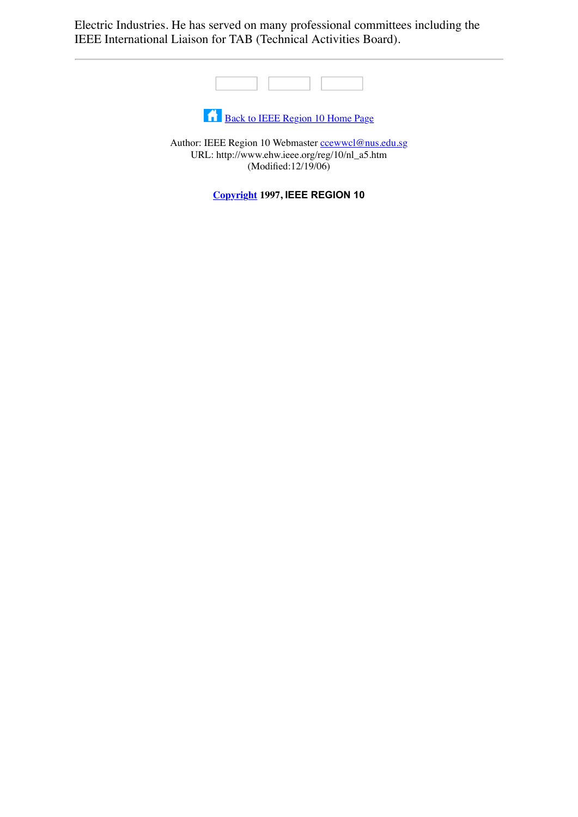Electric Industries. He has served on many professional committees including the IEEE International Liaison for TAB (Technical Activities Board).



[Back to IEEE Region 10 Home Page](file:///Volumes/Temp%20Files/IEEE%20Region%2010/r10-backup/Newsletter/1997/home.htm)

Author: IEEE Region 10 Webmaster control @nus.edu.sg URL: http://www.ehw.ieee.org/reg/10/nl\_a5.htm (Modified:12/19/06)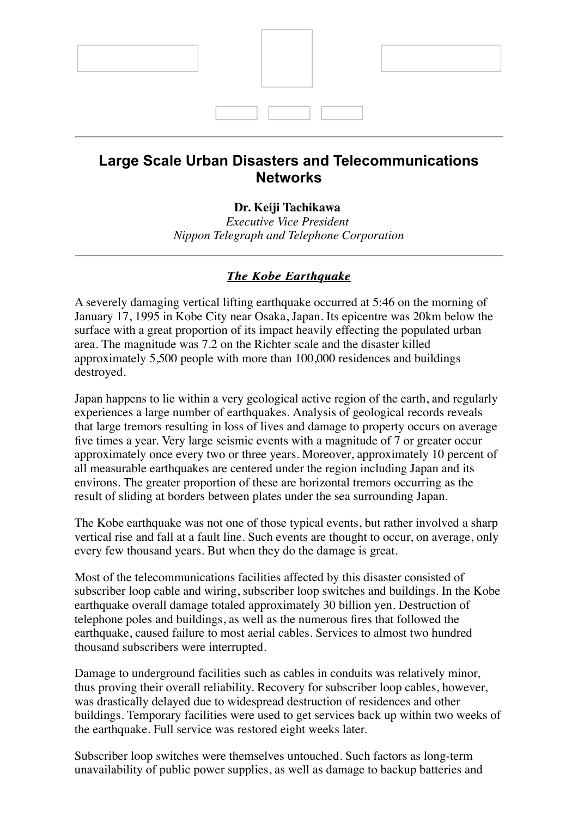

## **Large Scale Urban Disasters and Telecommunications Networks**

#### **Dr. Keiji Tachikawa**

*Executive Vice President Nippon Telegraph and Telephone Corporation*

### *The Kobe Earthquake The Kobe Earthquake*

A severely damaging vertical lifting earthquake occurred at 5:46 on the morning of January 17, 1995 in Kobe City near Osaka, Japan. Its epicentre was 20km below the surface with a great proportion of its impact heavily effecting the populated urban area. The magnitude was 7.2 on the Richter scale and the disaster killed approximately 5,500 people with more than 100,000 residences and buildings destroyed.

Japan happens to lie within a very geological active region of the earth, and regularly experiences a large number of earthquakes. Analysis of geological records reveals that large tremors resulting in loss of lives and damage to property occurs on average five times a year. Very large seismic events with a magnitude of 7 or greater occur approximately once every two or three years. Moreover, approximately 10 percent of all measurable earthquakes are centered under the region including Japan and its environs. The greater proportion of these are horizontal tremors occurring as the result of sliding at borders between plates under the sea surrounding Japan.

The Kobe earthquake was not one of those typical events, but rather involved a sharp vertical rise and fall at a fault line. Such events are thought to occur, on average, only every few thousand years. But when they do the damage is great.

Most of the telecommunications facilities affected by this disaster consisted of subscriber loop cable and wiring, subscriber loop switches and buildings. In the Kobe earthquake overall damage totaled approximately 30 billion yen. Destruction of telephone poles and buildings, as well as the numerous fires that followed the earthquake, caused failure to most aerial cables. Services to almost two hundred thousand subscribers were interrupted.

Damage to underground facilities such as cables in conduits was relatively minor, thus proving their overall reliability. Recovery for subscriber loop cables, however, was drastically delayed due to widespread destruction of residences and other buildings. Temporary facilities were used to get services back up within two weeks of the earthquake. Full service was restored eight weeks later.

Subscriber loop switches were themselves untouched. Such factors as long-term unavailability of public power supplies, as well as damage to backup batteries and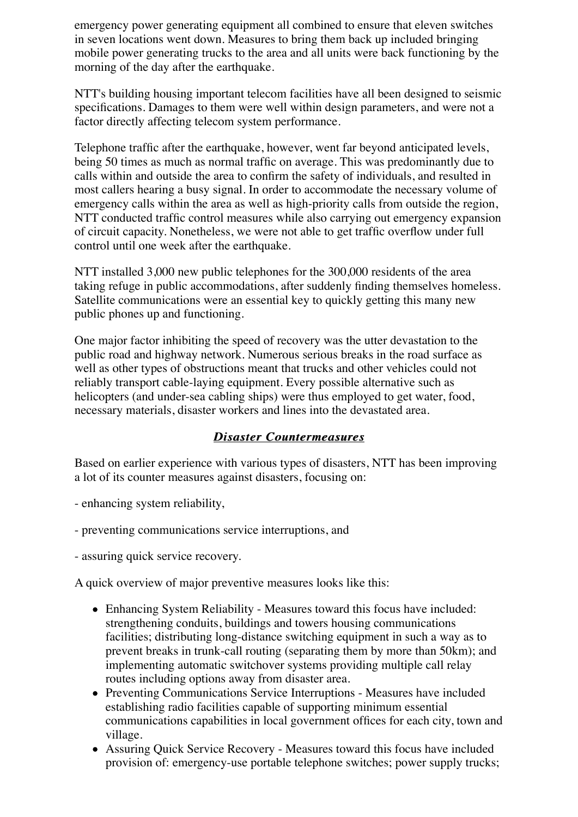emergency power generating equipment all combined to ensure that eleven switches in seven locations went down. Measures to bring them back up included bringing mobile power generating trucks to the area and all units were back functioning by the morning of the day after the earthquake.

NTT's building housing important telecom facilities have all been designed to seismic specifications. Damages to them were well within design parameters, and were not a factor directly affecting telecom system performance.

Telephone traffic after the earthquake, however, went far beyond anticipated levels, being 50 times as much as normal traffic on average. This was predominantly due to calls within and outside the area to confirm the safety of individuals, and resulted in most callers hearing a busy signal. In order to accommodate the necessary volume of emergency calls within the area as well as high-priority calls from outside the region, NTT conducted traffic control measures while also carrying out emergency expansion of circuit capacity. Nonetheless, we were not able to get traffic overflow under full control until one week after the earthquake.

NTT installed 3,000 new public telephones for the 300,000 residents of the area taking refuge in public accommodations, after suddenly finding themselves homeless. Satellite communications were an essential key to quickly getting this many new public phones up and functioning.

One major factor inhibiting the speed of recovery was the utter devastation to the public road and highway network. Numerous serious breaks in the road surface as well as other types of obstructions meant that trucks and other vehicles could not reliably transport cable-laying equipment. Every possible alternative such as helicopters (and under-sea cabling ships) were thus employed to get water, food, necessary materials, disaster workers and lines into the devastated area.

### *Disaster Countermeasures Disaster Countermeasures*

Based on earlier experience with various types of disasters, NTT has been improving a lot of its counter measures against disasters, focusing on:

- enhancing system reliability,
- preventing communications service interruptions, and
- assuring quick service recovery.

A quick overview of major preventive measures looks like this:

- Enhancing System Reliability Measures toward this focus have included: strengthening conduits, buildings and towers housing communications facilities; distributing long-distance switching equipment in such a way as to prevent breaks in trunk-call routing (separating them by more than 50km); and implementing automatic switchover systems providing multiple call relay routes including options away from disaster area.
- Preventing Communications Service Interruptions Measures have included establishing radio facilities capable of supporting minimum essential communications capabilities in local government offices for each city, town and village.
- Assuring Quick Service Recovery Measures toward this focus have included provision of: emergency-use portable telephone switches; power supply trucks;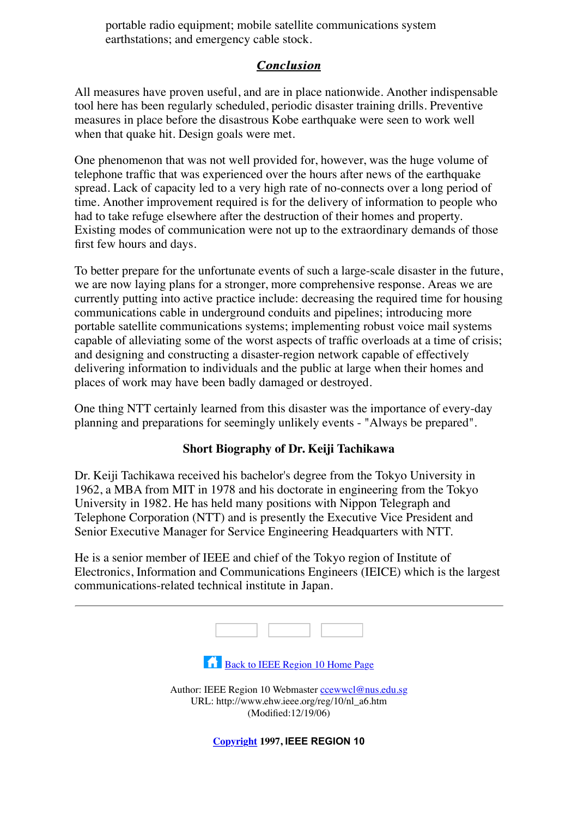portable radio equipment; mobile satellite communications system earthstations; and emergency cable stock.

### *Conclusion Conclusion*

All measures have proven useful, and are in place nationwide. Another indispensable tool here has been regularly scheduled, periodic disaster training drills. Preventive measures in place before the disastrous Kobe earthquake were seen to work well when that quake hit. Design goals were met.

One phenomenon that was not well provided for, however, was the huge volume of telephone traffic that was experienced over the hours after news of the earthquake spread. Lack of capacity led to a very high rate of no-connects over a long period of time. Another improvement required is for the delivery of information to people who had to take refuge elsewhere after the destruction of their homes and property. Existing modes of communication were not up to the extraordinary demands of those first few hours and days.

To better prepare for the unfortunate events of such a large-scale disaster in the future, we are now laying plans for a stronger, more comprehensive response. Areas we are currently putting into active practice include: decreasing the required time for housing communications cable in underground conduits and pipelines; introducing more portable satellite communications systems; implementing robust voice mail systems capable of alleviating some of the worst aspects of traffic overloads at a time of crisis; and designing and constructing a disaster-region network capable of effectively delivering information to individuals and the public at large when their homes and places of work may have been badly damaged or destroyed.

One thing NTT certainly learned from this disaster was the importance of every-day planning and preparations for seemingly unlikely events - "Always be prepared".

### **Short Biography of Dr. Keiji Tachikawa**

Dr. Keiji Tachikawa received his bachelor's degree from the Tokyo University in 1962, a MBA from MIT in 1978 and his doctorate in engineering from the Tokyo University in 1982. He has held many positions with Nippon Telegraph and Telephone Corporation (NTT) and is presently the Executive Vice President and Senior Executive Manager for Service Engineering Headquarters with NTT.

He is a senior member of IEEE and chief of the Tokyo region of Institute of Electronics, Information and Communications Engineers (IEICE) which is the largest communications-related technical institute in Japan.

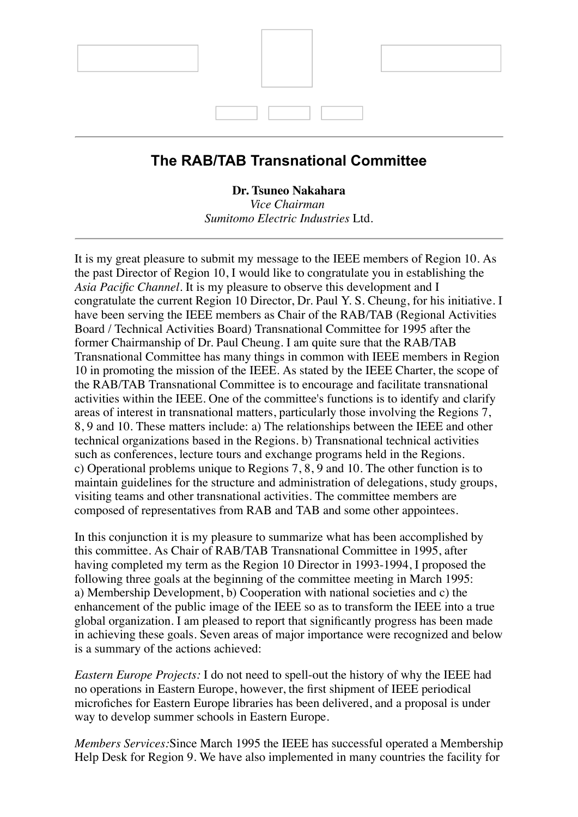

## **The RAB/TAB Transnational Committee**

**Dr. Tsuneo Nakahara**

*Vice Chairman Sumitomo Electric Industries* Ltd.

It is my great pleasure to submit my message to the IEEE members of Region 10. As the past Director of Region 10, I would like to congratulate you in establishing the *Asia Pacific Channel*. It is my pleasure to observe this development and I congratulate the current Region 10 Director, Dr. Paul Y. S. Cheung, for his initiative. I have been serving the IEEE members as Chair of the RAB/TAB (Regional Activities Board / Technical Activities Board) Transnational Committee for 1995 after the former Chairmanship of Dr. Paul Cheung. I am quite sure that the RAB/TAB Transnational Committee has many things in common with IEEE members in Region 10 in promoting the mission of the IEEE. As stated by the IEEE Charter, the scope of the RAB/TAB Transnational Committee is to encourage and facilitate transnational activities within the IEEE. One of the committee's functions is to identify and clarify areas of interest in transnational matters, particularly those involving the Regions 7, 8, 9 and 10. These matters include: a) The relationships between the IEEE and other technical organizations based in the Regions. b) Transnational technical activities such as conferences, lecture tours and exchange programs held in the Regions. c) Operational problems unique to Regions 7, 8, 9 and 10. The other function is to maintain guidelines for the structure and administration of delegations, study groups, visiting teams and other transnational activities. The committee members are composed of representatives from RAB and TAB and some other appointees.

In this conjunction it is my pleasure to summarize what has been accomplished by this committee. As Chair of RAB/TAB Transnational Committee in 1995, after having completed my term as the Region 10 Director in 1993-1994, I proposed the following three goals at the beginning of the committee meeting in March 1995: a) Membership Development, b) Cooperation with national societies and c) the enhancement of the public image of the IEEE so as to transform the IEEE into a true global organization. I am pleased to report that significantly progress has been made in achieving these goals. Seven areas of major importance were recognized and below is a summary of the actions achieved:

*Eastern Europe Projects:* I do not need to spell-out the history of why the IEEE had no operations in Eastern Europe, however, the first shipment of IEEE periodical microfiches for Eastern Europe libraries has been delivered, and a proposal is under way to develop summer schools in Eastern Europe.

*Members Services:*Since March 1995 the IEEE has successful operated a Membership Help Desk for Region 9. We have also implemented in many countries the facility for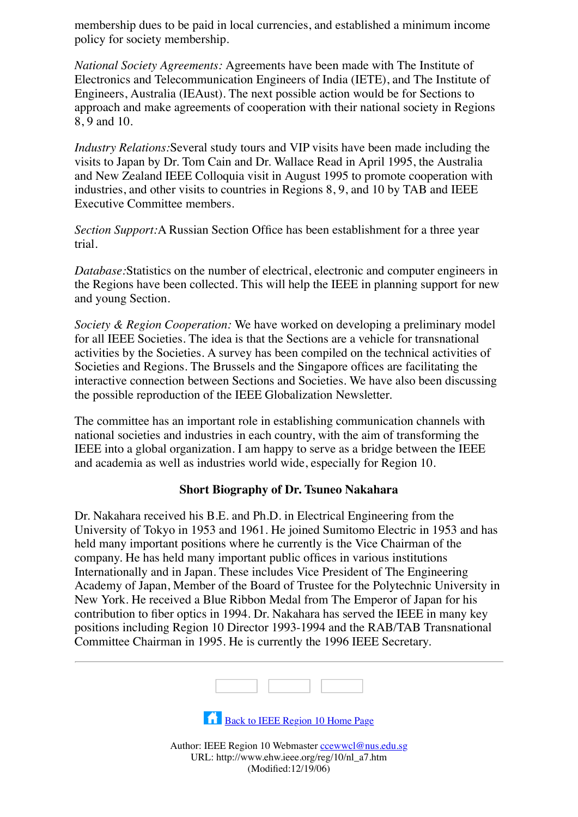membership dues to be paid in local currencies, and established a minimum income policy for society membership.

*National Society Agreements:* Agreements have been made with The Institute of Electronics and Telecommunication Engineers of India (IETE), and The Institute of Engineers, Australia (IEAust). The next possible action would be for Sections to approach and make agreements of cooperation with their national society in Regions 8, 9 and 10.

*Industry Relations:*Several study tours and VIP visits have been made including the visits to Japan by Dr. Tom Cain and Dr. Wallace Read in April 1995, the Australia and New Zealand IEEE Colloquia visit in August 1995 to promote cooperation with industries, and other visits to countries in Regions 8, 9, and 10 by TAB and IEEE Executive Committee members.

*Section Support:*A Russian Section Office has been establishment for a three year trial.

*Database:*Statistics on the number of electrical, electronic and computer engineers in the Regions have been collected. This will help the IEEE in planning support for new and young Section.

*Society & Region Cooperation:* We have worked on developing a preliminary model for all IEEE Societies. The idea is that the Sections are a vehicle for transnational activities by the Societies. A survey has been compiled on the technical activities of Societies and Regions. The Brussels and the Singapore offices are facilitating the interactive connection between Sections and Societies. We have also been discussing the possible reproduction of the IEEE Globalization Newsletter.

The committee has an important role in establishing communication channels with national societies and industries in each country, with the aim of transforming the IEEE into a global organization. I am happy to serve as a bridge between the IEEE and academia as well as industries world wide, especially for Region 10.

#### **Short Biography of Dr. Tsuneo Nakahara**

Dr. Nakahara received his B.E. and Ph.D. in Electrical Engineering from the University of Tokyo in 1953 and 1961. He joined Sumitomo Electric in 1953 and has held many important positions where he currently is the Vice Chairman of the company. He has held many important public offices in various institutions Internationally and in Japan. These includes Vice President of The Engineering Academy of Japan, Member of the Board of Trustee for the Polytechnic University in New York. He received a Blue Ribbon Medal from The Emperor of Japan for his contribution to fiber optics in 1994. Dr. Nakahara has served the IEEE in many key positions including Region 10 Director 1993-1994 and the RAB/TAB Transnational Committee Chairman in 1995. He is currently the 1996 IEEE Secretary.



[Back to IEEE Region 10 Home Page](file:///Volumes/Temp%20Files/IEEE%20Region%2010/r10-backup/Newsletter/1997/home.htm)

Author: IEEE Region 10 Webmaster [ccewwcl@nus.edu.sg](mailto:ccewwcl@nus.edu.sg) URL: http://www.ehw.ieee.org/reg/10/nl\_a7.htm (Modified:12/19/06)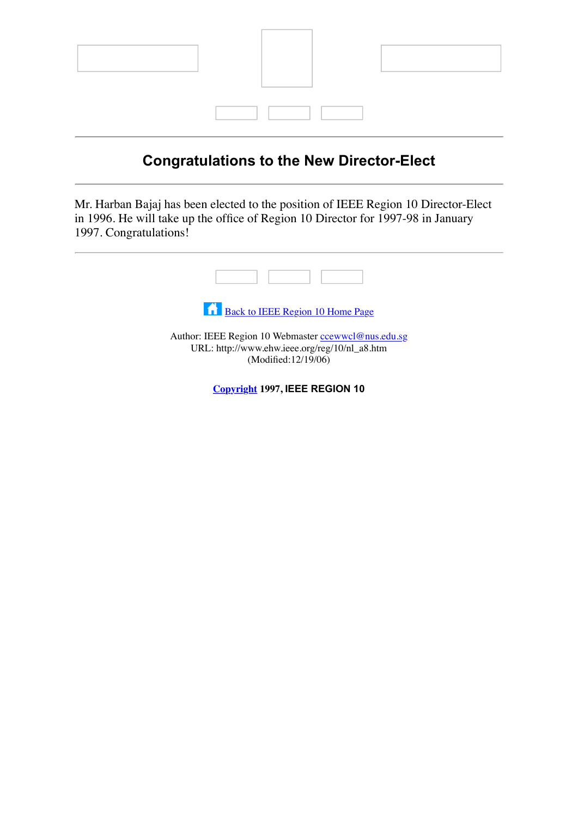

# **Congratulations to the New Director-Elect**

Mr. Harban Bajaj has been elected to the position of IEEE Region 10 Director-Elect in 1996. He will take up the office of Region 10 Director for 1997-98 in January 1997. Congratulations!



[Back to IEEE Region 10 Home Page](file:///Volumes/Temp%20Files/IEEE%20Region%2010/r10-backup/Newsletter/1997/home.htm)

Author: IEEE Region 10 Webmaster [ccewwcl@nus.edu.sg](mailto:ccewwcl@nus.edu.sg) URL: http://www.ehw.ieee.org/reg/10/nl\_a8.htm (Modified:12/19/06)